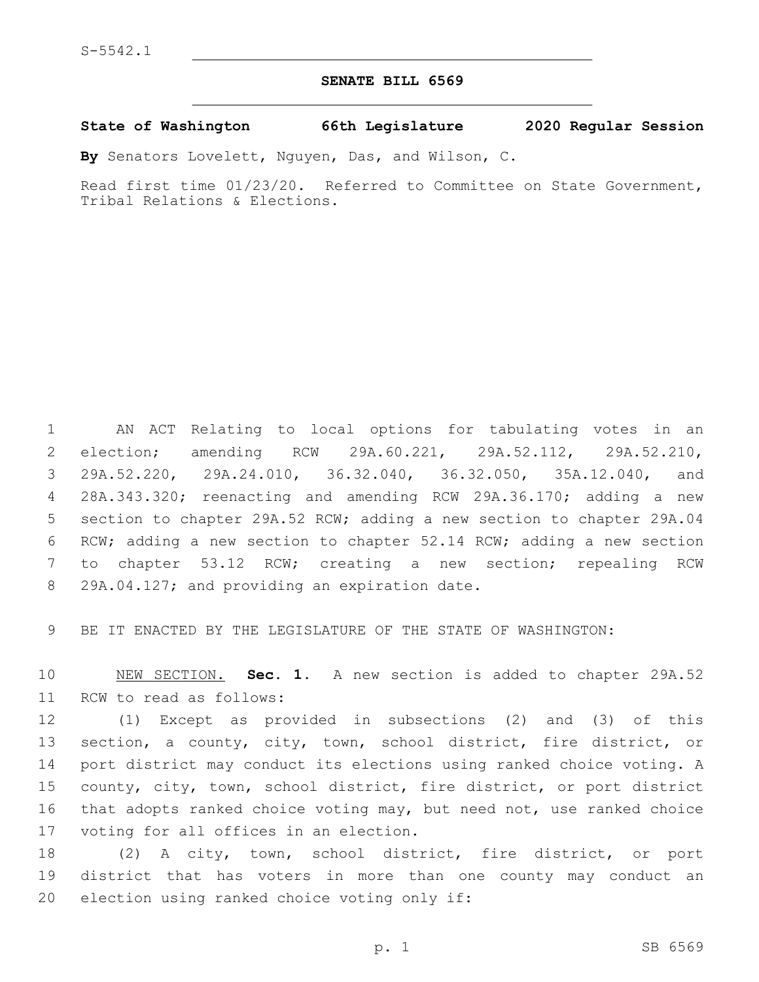## **SENATE BILL 6569**

**State of Washington 66th Legislature 2020 Regular Session**

**By** Senators Lovelett, Nguyen, Das, and Wilson, C.

Read first time 01/23/20. Referred to Committee on State Government, Tribal Relations & Elections.

 AN ACT Relating to local options for tabulating votes in an election; amending RCW 29A.60.221, 29A.52.112, 29A.52.210, 29A.52.220, 29A.24.010, 36.32.040, 36.32.050, 35A.12.040, and 28A.343.320; reenacting and amending RCW 29A.36.170; adding a new section to chapter 29A.52 RCW; adding a new section to chapter 29A.04 RCW; adding a new section to chapter 52.14 RCW; adding a new section to chapter 53.12 RCW; creating a new section; repealing RCW 8 29A.04.127; and providing an expiration date.

9 BE IT ENACTED BY THE LEGISLATURE OF THE STATE OF WASHINGTON:

10 NEW SECTION. **Sec. 1.** A new section is added to chapter 29A.52 11 RCW to read as follows:

 (1) Except as provided in subsections (2) and (3) of this section, a county, city, town, school district, fire district, or port district may conduct its elections using ranked choice voting. A county, city, town, school district, fire district, or port district that adopts ranked choice voting may, but need not, use ranked choice 17 voting for all offices in an election.

18 (2) A city, town, school district, fire district, or port 19 district that has voters in more than one county may conduct an 20 election using ranked choice voting only if: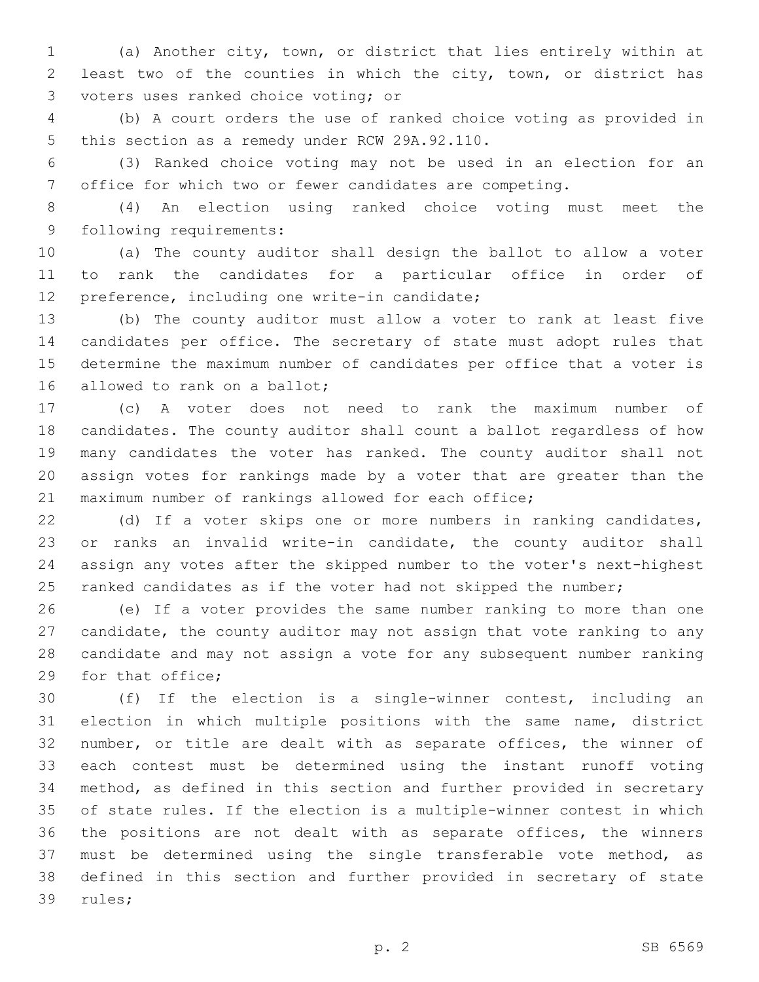(a) Another city, town, or district that lies entirely within at least two of the counties in which the city, town, or district has 3 voters uses ranked choice voting; or

 (b) A court orders the use of ranked choice voting as provided in 5 this section as a remedy under RCW 29A.92.110.

 (3) Ranked choice voting may not be used in an election for an office for which two or fewer candidates are competing.

 (4) An election using ranked choice voting must meet the 9 following requirements:

 (a) The county auditor shall design the ballot to allow a voter to rank the candidates for a particular office in order of 12 preference, including one write-in candidate;

 (b) The county auditor must allow a voter to rank at least five candidates per office. The secretary of state must adopt rules that determine the maximum number of candidates per office that a voter is 16 allowed to rank on a ballot;

 (c) A voter does not need to rank the maximum number of candidates. The county auditor shall count a ballot regardless of how many candidates the voter has ranked. The county auditor shall not assign votes for rankings made by a voter that are greater than the maximum number of rankings allowed for each office;

 (d) If a voter skips one or more numbers in ranking candidates, or ranks an invalid write-in candidate, the county auditor shall assign any votes after the skipped number to the voter's next-highest 25 ranked candidates as if the voter had not skipped the number;

 (e) If a voter provides the same number ranking to more than one candidate, the county auditor may not assign that vote ranking to any candidate and may not assign a vote for any subsequent number ranking 29 for that office;

 (f) If the election is a single-winner contest, including an election in which multiple positions with the same name, district number, or title are dealt with as separate offices, the winner of each contest must be determined using the instant runoff voting method, as defined in this section and further provided in secretary of state rules. If the election is a multiple-winner contest in which the positions are not dealt with as separate offices, the winners must be determined using the single transferable vote method, as defined in this section and further provided in secretary of state 39 rules;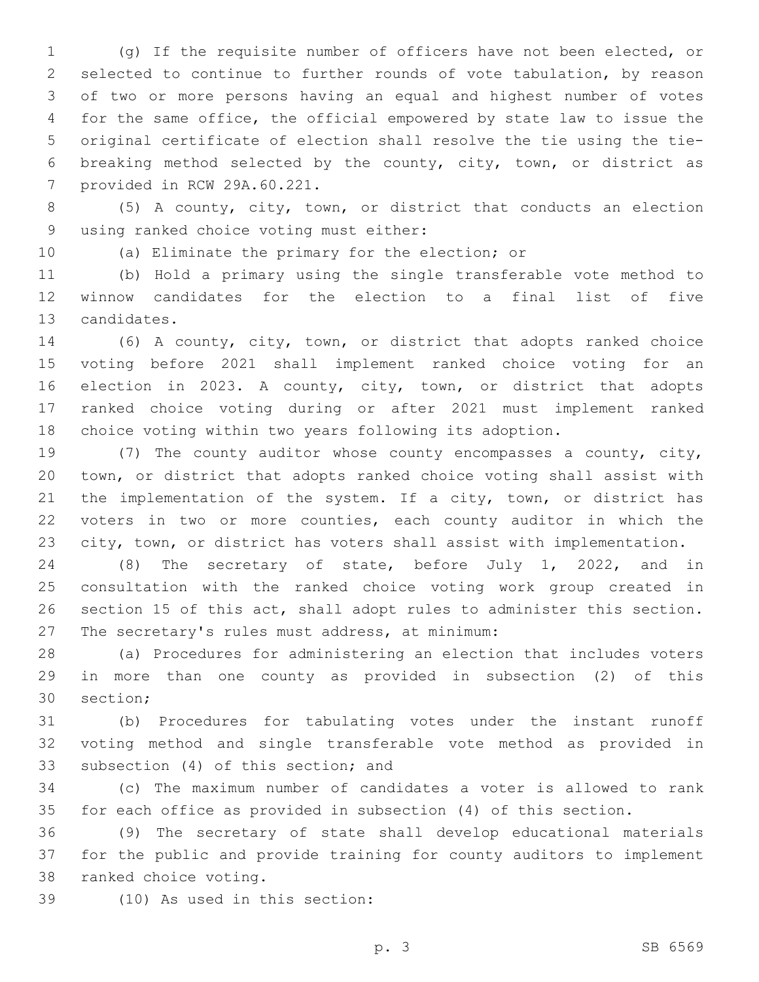(g) If the requisite number of officers have not been elected, or selected to continue to further rounds of vote tabulation, by reason of two or more persons having an equal and highest number of votes for the same office, the official empowered by state law to issue the original certificate of election shall resolve the tie using the tie- breaking method selected by the county, city, town, or district as 7 provided in RCW 29A.60.221.

 (5) A county, city, town, or district that conducts an election 9 using ranked choice voting must either:

(a) Eliminate the primary for the election; or

 (b) Hold a primary using the single transferable vote method to winnow candidates for the election to a final list of five 13 candidates.

 (6) A county, city, town, or district that adopts ranked choice voting before 2021 shall implement ranked choice voting for an election in 2023. A county, city, town, or district that adopts ranked choice voting during or after 2021 must implement ranked choice voting within two years following its adoption.

 (7) The county auditor whose county encompasses a county, city, town, or district that adopts ranked choice voting shall assist with 21 the implementation of the system. If a city, town, or district has voters in two or more counties, each county auditor in which the city, town, or district has voters shall assist with implementation.

 (8) The secretary of state, before July 1, 2022, and in consultation with the ranked choice voting work group created in section 15 of this act, shall adopt rules to administer this section. 27 The secretary's rules must address, at minimum:

 (a) Procedures for administering an election that includes voters in more than one county as provided in subsection (2) of this 30 section;

 (b) Procedures for tabulating votes under the instant runoff voting method and single transferable vote method as provided in 33 subsection (4) of this section; and

 (c) The maximum number of candidates a voter is allowed to rank for each office as provided in subsection (4) of this section.

 (9) The secretary of state shall develop educational materials for the public and provide training for county auditors to implement 38 ranked choice voting.

(10) As used in this section:39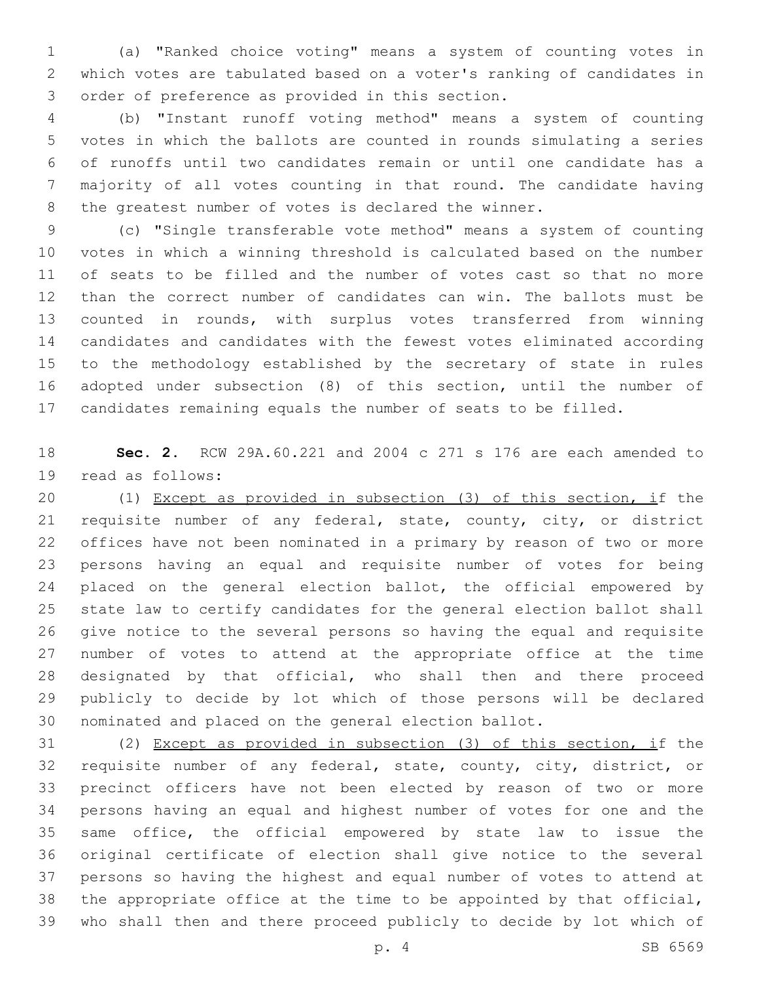(a) "Ranked choice voting" means a system of counting votes in which votes are tabulated based on a voter's ranking of candidates in 3 order of preference as provided in this section.

 (b) "Instant runoff voting method" means a system of counting votes in which the ballots are counted in rounds simulating a series of runoffs until two candidates remain or until one candidate has a majority of all votes counting in that round. The candidate having the greatest number of votes is declared the winner.

 (c) "Single transferable vote method" means a system of counting votes in which a winning threshold is calculated based on the number of seats to be filled and the number of votes cast so that no more than the correct number of candidates can win. The ballots must be counted in rounds, with surplus votes transferred from winning candidates and candidates with the fewest votes eliminated according to the methodology established by the secretary of state in rules adopted under subsection (8) of this section, until the number of candidates remaining equals the number of seats to be filled.

 **Sec. 2.** RCW 29A.60.221 and 2004 c 271 s 176 are each amended to 19 read as follows:

 (1) Except as provided in subsection (3) of this section, if the requisite number of any federal, state, county, city, or district offices have not been nominated in a primary by reason of two or more persons having an equal and requisite number of votes for being 24 placed on the general election ballot, the official empowered by state law to certify candidates for the general election ballot shall give notice to the several persons so having the equal and requisite number of votes to attend at the appropriate office at the time designated by that official, who shall then and there proceed publicly to decide by lot which of those persons will be declared nominated and placed on the general election ballot.

 (2) Except as provided in subsection (3) of this section, if the requisite number of any federal, state, county, city, district, or precinct officers have not been elected by reason of two or more persons having an equal and highest number of votes for one and the same office, the official empowered by state law to issue the original certificate of election shall give notice to the several persons so having the highest and equal number of votes to attend at the appropriate office at the time to be appointed by that official, who shall then and there proceed publicly to decide by lot which of

p. 4 SB 6569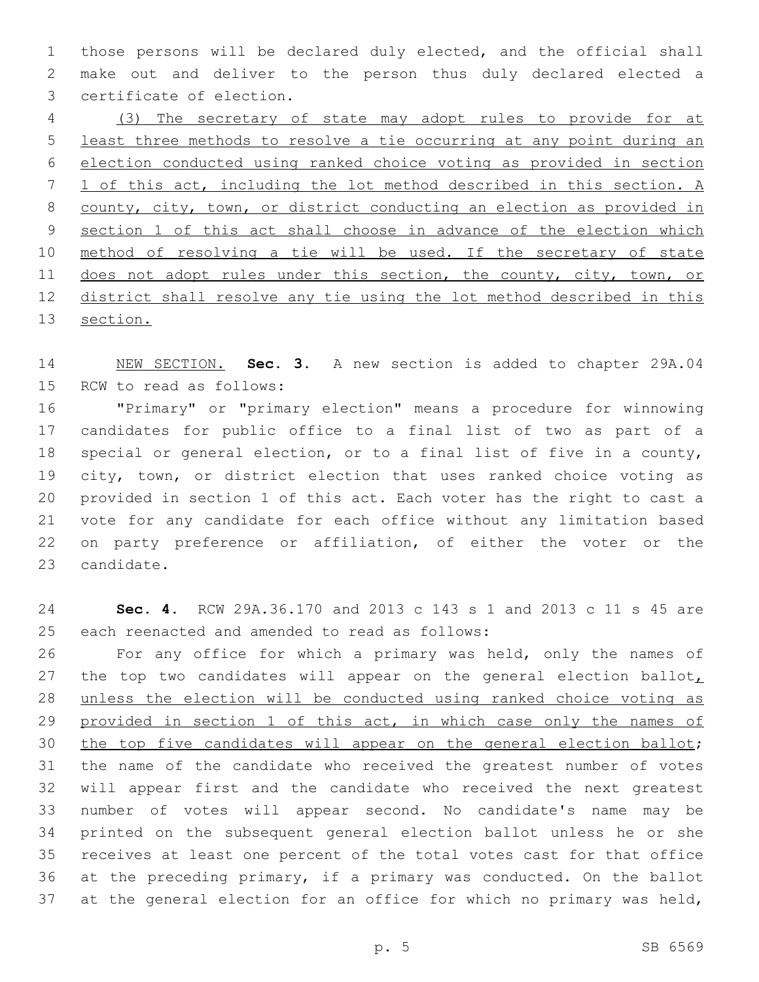those persons will be declared duly elected, and the official shall make out and deliver to the person thus duly declared elected a 3 certificate of election.

 (3) The secretary of state may adopt rules to provide for at least three methods to resolve a tie occurring at any point during an election conducted using ranked choice voting as provided in section 1 of this act, including the lot method described in this section. A county, city, town, or district conducting an election as provided in section 1 of this act shall choose in advance of the election which 10 method of resolving a tie will be used. If the secretary of state 11 does not adopt rules under this section, the county, city, town, or district shall resolve any tie using the lot method described in this section.

 NEW SECTION. **Sec. 3.** A new section is added to chapter 29A.04 15 RCW to read as follows:

 "Primary" or "primary election" means a procedure for winnowing candidates for public office to a final list of two as part of a special or general election, or to a final list of five in a county, city, town, or district election that uses ranked choice voting as provided in section 1 of this act. Each voter has the right to cast a vote for any candidate for each office without any limitation based on party preference or affiliation, of either the voter or the 23 candidate.

 **Sec. 4.** RCW 29A.36.170 and 2013 c 143 s 1 and 2013 c 11 s 45 are 25 each reenacted and amended to read as follows:

 For any office for which a primary was held, only the names of 27 the top two candidates will appear on the general election ballot, unless the election will be conducted using ranked choice voting as 29 provided in section 1 of this act, in which case only the names of the top five candidates will appear on the general election ballot; the name of the candidate who received the greatest number of votes will appear first and the candidate who received the next greatest number of votes will appear second. No candidate's name may be printed on the subsequent general election ballot unless he or she receives at least one percent of the total votes cast for that office at the preceding primary, if a primary was conducted. On the ballot at the general election for an office for which no primary was held,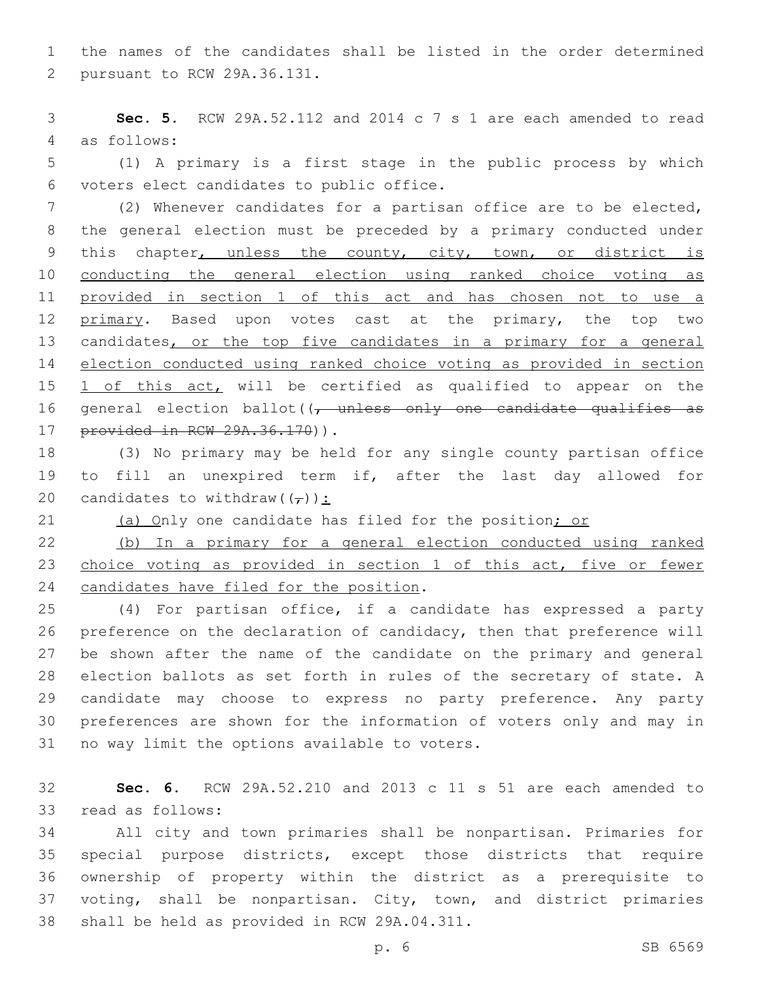the names of the candidates shall be listed in the order determined 2 pursuant to RCW 29A.36.131.

 **Sec. 5.** RCW 29A.52.112 and 2014 c 7 s 1 are each amended to read 4 as follows:

 (1) A primary is a first stage in the public process by which voters elect candidates to public office.6

 (2) Whenever candidates for a partisan office are to be elected, the general election must be preceded by a primary conducted under this chapter, unless the county, city, town, or district is conducting the general election using ranked choice voting as provided in section 1 of this act and has chosen not to use a 12 primary. Based upon votes cast at the primary, the top two 13 candidates, or the top five candidates in a primary for a general election conducted using ranked choice voting as provided in section 15 1 of this act, will be certified as qualified to appear on the 16 general election ballot( $\sqrt{t}$  unless only one candidate qualifies as 17 provided in RCW 29A.36.170)).

 (3) No primary may be held for any single county partisan office to fill an unexpired term if, after the last day allowed for 20 candidates to withdraw( $(\tau)$ ):

21 (a) Only one candidate has filed for the position; or

 (b) In a primary for a general election conducted using ranked choice voting as provided in section 1 of this act, five or fewer 24 candidates have filed for the position.

 (4) For partisan office, if a candidate has expressed a party preference on the declaration of candidacy, then that preference will be shown after the name of the candidate on the primary and general election ballots as set forth in rules of the secretary of state. A candidate may choose to express no party preference. Any party preferences are shown for the information of voters only and may in 31 no way limit the options available to voters.

 **Sec. 6.** RCW 29A.52.210 and 2013 c 11 s 51 are each amended to 33 read as follows:

 All city and town primaries shall be nonpartisan. Primaries for special purpose districts, except those districts that require ownership of property within the district as a prerequisite to voting, shall be nonpartisan. City, town, and district primaries 38 shall be held as provided in RCW 29A.04.311.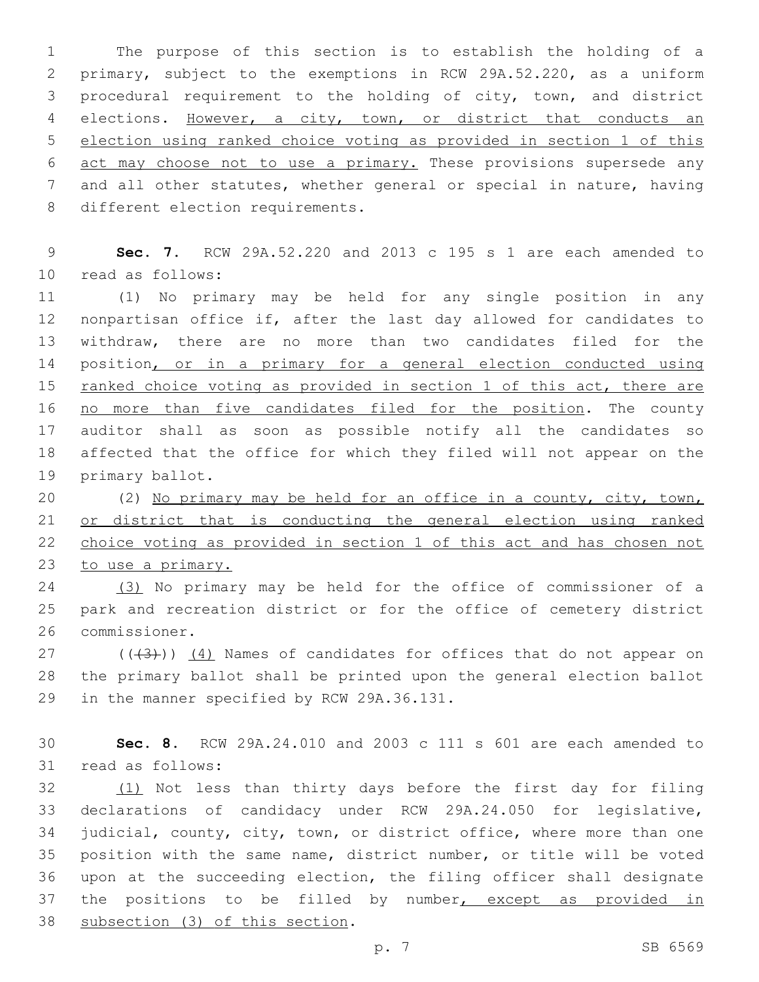The purpose of this section is to establish the holding of a primary, subject to the exemptions in RCW 29A.52.220, as a uniform procedural requirement to the holding of city, town, and district elections. However, a city, town, or district that conducts an election using ranked choice voting as provided in section 1 of this 6 act may choose not to use a primary. These provisions supersede any and all other statutes, whether general or special in nature, having 8 different election requirements.

 **Sec. 7.** RCW 29A.52.220 and 2013 c 195 s 1 are each amended to 10 read as follows:

 (1) No primary may be held for any single position in any nonpartisan office if, after the last day allowed for candidates to withdraw, there are no more than two candidates filed for the 14 position, or in a primary for a general election conducted using 15 ranked choice voting as provided in section 1 of this act, there are no more than five candidates filed for the position. The county auditor shall as soon as possible notify all the candidates so affected that the office for which they filed will not appear on the 19 primary ballot.

 (2) No primary may be held for an office in a county, city, town, or district that is conducting the general election using ranked choice voting as provided in section 1 of this act and has chosen not 23 to use a primary.

 (3) No primary may be held for the office of commissioner of a park and recreation district or for the office of cemetery district 26 commissioner.

 ( $(\overline{3})$ )  $(4)$  Names of candidates for offices that do not appear on the primary ballot shall be printed upon the general election ballot 29 in the manner specified by RCW 29A.36.131.

 **Sec. 8.** RCW 29A.24.010 and 2003 c 111 s 601 are each amended to 31 read as follows:

 (1) Not less than thirty days before the first day for filing declarations of candidacy under RCW 29A.24.050 for legislative, judicial, county, city, town, or district office, where more than one position with the same name, district number, or title will be voted upon at the succeeding election, the filing officer shall designate 37 the positions to be filled by number, except as provided in 38 subsection (3) of this section.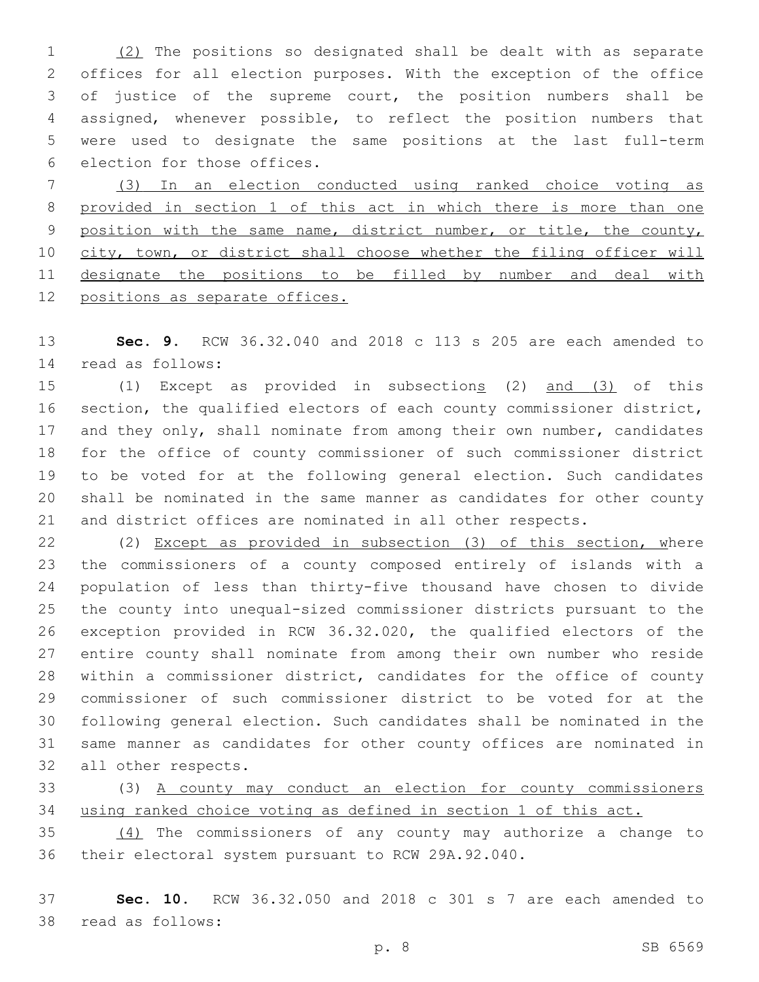(2) The positions so designated shall be dealt with as separate offices for all election purposes. With the exception of the office of justice of the supreme court, the position numbers shall be assigned, whenever possible, to reflect the position numbers that were used to designate the same positions at the last full-term 6 election for those offices.

 (3) In an election conducted using ranked choice voting as provided in section 1 of this act in which there is more than one 9 position with the same name, district number, or title, the county, 10 city, town, or district shall choose whether the filing officer will 11 designate the positions to be filled by number and deal with positions as separate offices.

 **Sec. 9.** RCW 36.32.040 and 2018 c 113 s 205 are each amended to read as follows:14

 (1) Except as provided in subsections (2) and (3) of this section, the qualified electors of each county commissioner district, 17 and they only, shall nominate from among their own number, candidates for the office of county commissioner of such commissioner district to be voted for at the following general election. Such candidates shall be nominated in the same manner as candidates for other county and district offices are nominated in all other respects.

 (2) Except as provided in subsection (3) of this section, where the commissioners of a county composed entirely of islands with a population of less than thirty-five thousand have chosen to divide the county into unequal-sized commissioner districts pursuant to the exception provided in RCW 36.32.020, the qualified electors of the entire county shall nominate from among their own number who reside within a commissioner district, candidates for the office of county commissioner of such commissioner district to be voted for at the following general election. Such candidates shall be nominated in the same manner as candidates for other county offices are nominated in 32 all other respects.

 (3) A county may conduct an election for county commissioners using ranked choice voting as defined in section 1 of this act.

 (4) The commissioners of any county may authorize a change to their electoral system pursuant to RCW 29A.92.040.

 **Sec. 10.** RCW 36.32.050 and 2018 c 301 s 7 are each amended to 38 read as follows: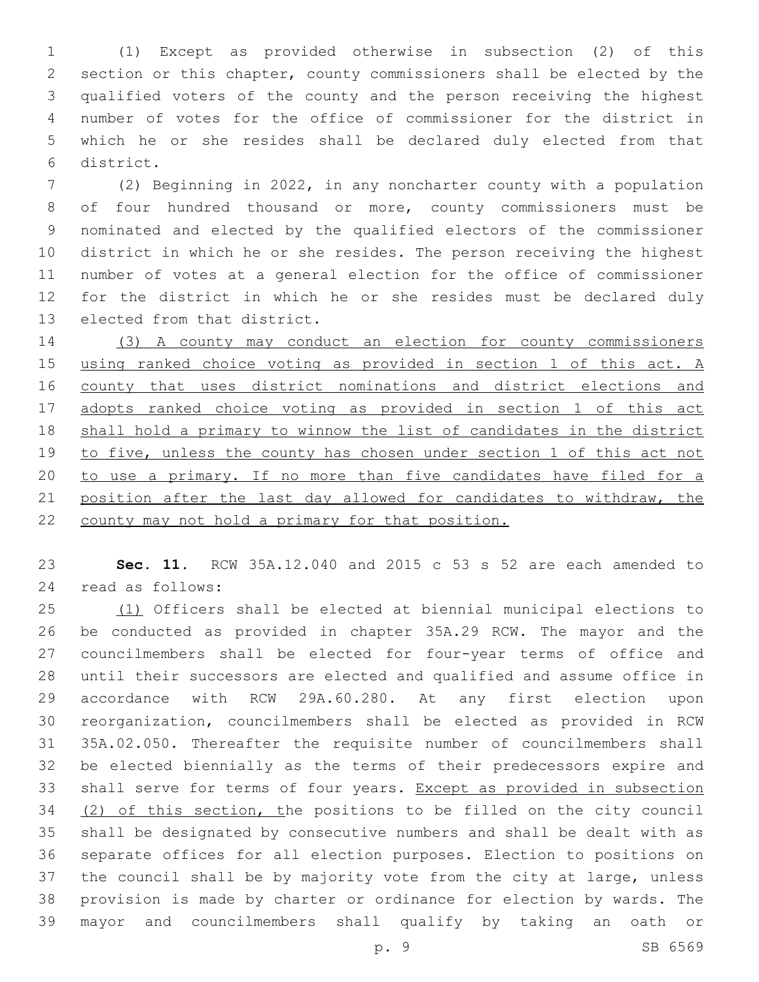(1) Except as provided otherwise in subsection (2) of this section or this chapter, county commissioners shall be elected by the qualified voters of the county and the person receiving the highest number of votes for the office of commissioner for the district in which he or she resides shall be declared duly elected from that district.6

 (2) Beginning in 2022, in any noncharter county with a population of four hundred thousand or more, county commissioners must be nominated and elected by the qualified electors of the commissioner district in which he or she resides. The person receiving the highest number of votes at a general election for the office of commissioner for the district in which he or she resides must be declared duly 13 elected from that district.

 (3) A county may conduct an election for county commissioners 15 using ranked choice voting as provided in section 1 of this act. A 16 county that uses district nominations and district elections and 17 adopts ranked choice voting as provided in section 1 of this act shall hold a primary to winnow the list of candidates in the district to five, unless the county has chosen under section 1 of this act not to use a primary. If no more than five candidates have filed for a 21 position after the last day allowed for candidates to withdraw, the county may not hold a primary for that position.

 **Sec. 11.** RCW 35A.12.040 and 2015 c 53 s 52 are each amended to 24 read as follows:

 (1) Officers shall be elected at biennial municipal elections to be conducted as provided in chapter 35A.29 RCW. The mayor and the councilmembers shall be elected for four-year terms of office and until their successors are elected and qualified and assume office in accordance with RCW 29A.60.280. At any first election upon reorganization, councilmembers shall be elected as provided in RCW 35A.02.050. Thereafter the requisite number of councilmembers shall be elected biennially as the terms of their predecessors expire and shall serve for terms of four years. Except as provided in subsection (2) of this section, the positions to be filled on the city council shall be designated by consecutive numbers and shall be dealt with as separate offices for all election purposes. Election to positions on the council shall be by majority vote from the city at large, unless provision is made by charter or ordinance for election by wards. The mayor and councilmembers shall qualify by taking an oath or

p. 9 SB 6569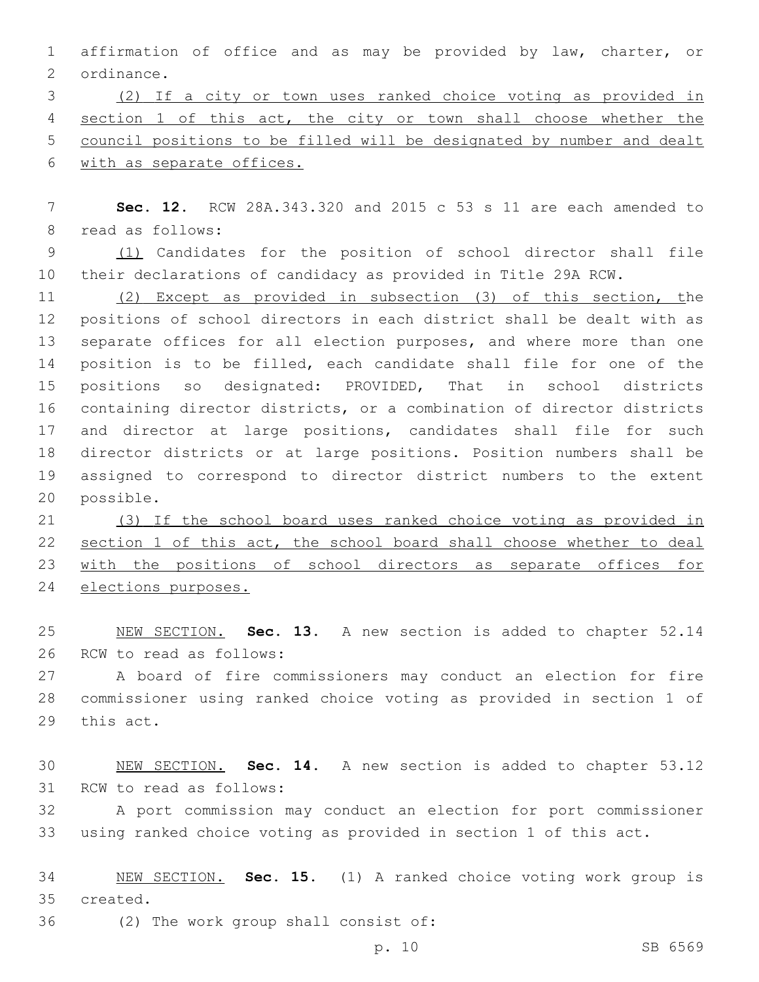affirmation of office and as may be provided by law, charter, or 2 ordinance.

 (2) If a city or town uses ranked choice voting as provided in section 1 of this act, the city or town shall choose whether the council positions to be filled will be designated by number and dealt with as separate offices.

 **Sec. 12.** RCW 28A.343.320 and 2015 c 53 s 11 are each amended to 8 read as follows:

9 (1) Candidates for the position of school director shall file their declarations of candidacy as provided in Title 29A RCW.

 (2) Except as provided in subsection (3) of this section, the positions of school directors in each district shall be dealt with as separate offices for all election purposes, and where more than one position is to be filled, each candidate shall file for one of the positions so designated: PROVIDED, That in school districts containing director districts, or a combination of director districts and director at large positions, candidates shall file for such director districts or at large positions. Position numbers shall be assigned to correspond to director district numbers to the extent 20 possible.

 (3) If the school board uses ranked choice voting as provided in 22 section 1 of this act, the school board shall choose whether to deal with the positions of school directors as separate offices for elections purposes.

 NEW SECTION. **Sec. 13.** A new section is added to chapter 52.14 26 RCW to read as follows:

 A board of fire commissioners may conduct an election for fire commissioner using ranked choice voting as provided in section 1 of 29 this act.

 NEW SECTION. **Sec. 14.** A new section is added to chapter 53.12 31 RCW to read as follows:

 A port commission may conduct an election for port commissioner using ranked choice voting as provided in section 1 of this act.

 NEW SECTION. **Sec. 15.** (1) A ranked choice voting work group is created.

36 (2) The work group shall consist of: